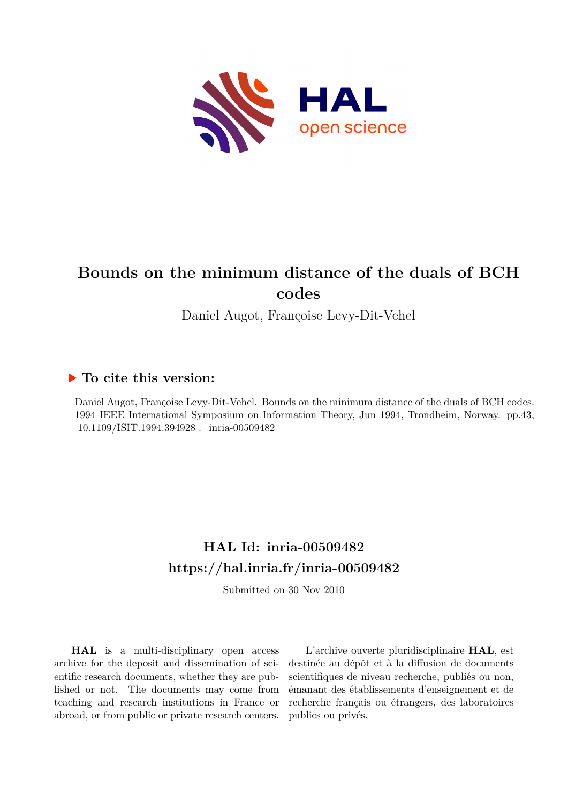

# **Bounds on the minimum distance of the duals of BCH codes**

Daniel Augot, Françoise Levy-Dit-Vehel

### **To cite this version:**

Daniel Augot, Françoise Levy-Dit-Vehel. Bounds on the minimum distance of the duals of BCH codes. 1994 IEEE International Symposium on Information Theory, Jun 1994, Trondheim, Norway. pp.43, 10.1109/ISIT.1994.394928 . inria-00509482

## **HAL Id: inria-00509482 <https://hal.inria.fr/inria-00509482>**

Submitted on 30 Nov 2010

**HAL** is a multi-disciplinary open access archive for the deposit and dissemination of scientific research documents, whether they are published or not. The documents may come from teaching and research institutions in France or abroad, or from public or private research centers.

L'archive ouverte pluridisciplinaire **HAL**, est destinée au dépôt et à la diffusion de documents scientifiques de niveau recherche, publiés ou non, émanant des établissements d'enseignement et de recherche français ou étrangers, des laboratoires publics ou privés.